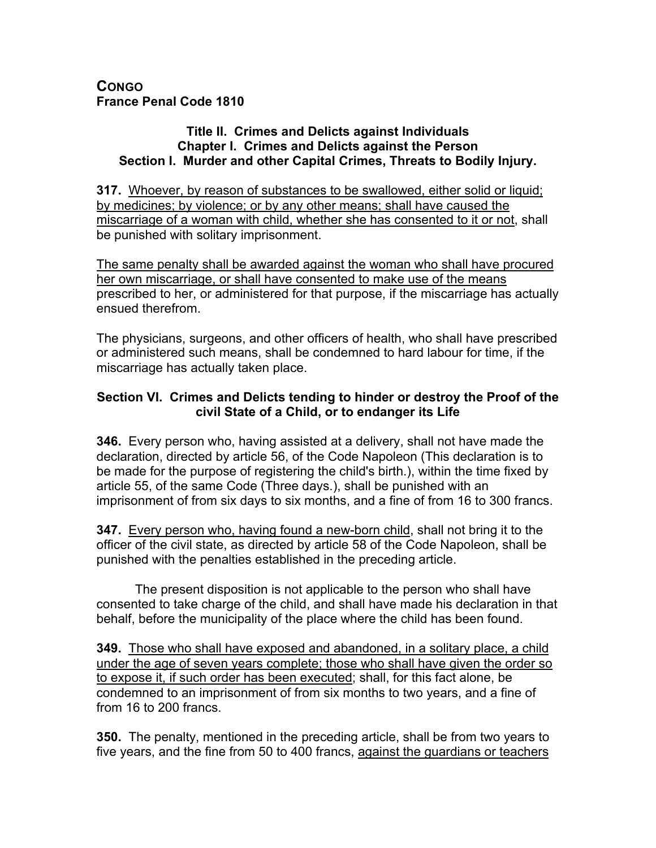## **Title II. Crimes and Delicts against Individuals Chapter I. Crimes and Delicts against the Person Section I. Murder and other Capital Crimes, Threats to Bodily Injury.**

**317.** Whoever, by reason of substances to be swallowed, either solid or liquid; by medicines; by violence; or by any other means; shall have caused the miscarriage of a woman with child, whether she has consented to it or not, shall be punished with solitary imprisonment.

The same penalty shall be awarded against the woman who shall have procured her own miscarriage, or shall have consented to make use of the means prescribed to her, or administered for that purpose, if the miscarriage has actually ensued therefrom.

The physicians, surgeons, and other officers of health, who shall have prescribed or administered such means, shall be condemned to hard labour for time, if the miscarriage has actually taken place.

## **Section VI. Crimes and Delicts tending to hinder or destroy the Proof of the civil State of a Child, or to endanger its Life**

**346.** Every person who, having assisted at a delivery, shall not have made the declaration, directed by article 56, of the Code Napoleon (This declaration is to be made for the purpose of registering the child's birth.), within the time fixed by article 55, of the same Code (Three days.), shall be punished with an imprisonment of from six days to six months, and a fine of from 16 to 300 francs.

**347.** Every person who, having found a new-born child, shall not bring it to the officer of the civil state, as directed by article 58 of the Code Napoleon, shall be punished with the penalties established in the preceding article.

The present disposition is not applicable to the person who shall have consented to take charge of the child, and shall have made his declaration in that behalf, before the municipality of the place where the child has been found.

**349.** Those who shall have exposed and abandoned, in a solitary place, a child under the age of seven years complete; those who shall have given the order so to expose it, if such order has been executed; shall, for this fact alone, be condemned to an imprisonment of from six months to two years, and a fine of from 16 to 200 francs.

**350.** The penalty, mentioned in the preceding article, shall be from two years to five years, and the fine from 50 to 400 francs, against the guardians or teachers